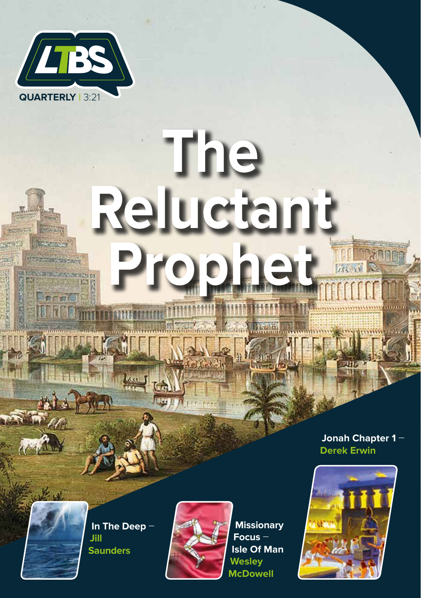

# **The Reluctant Prophet**

**Jonah Chapter 1** – **Derek Erwin**



**In The Deep** – **Jill Saunders**



**Missionary Focus** – **Isle Of Man Wesley McDowell**

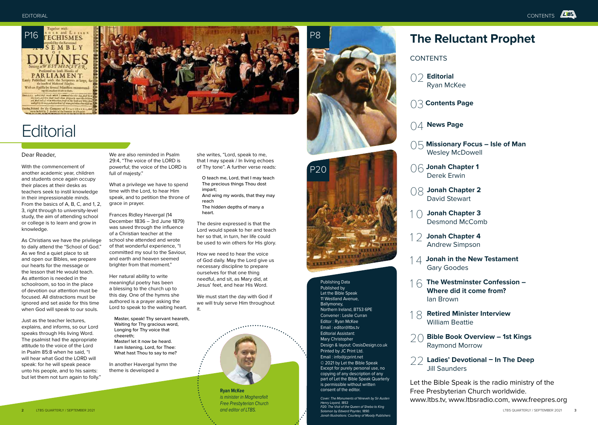

# **Editorial**

# Dear Reader,

With the commencement of another academic year, children and students once again occupy their places at their desks as teachers seek to instil knowledge in their impressionable minds. From the basics of A, B, C, and 1, 2, 3, right through to university-level study, the aim of attending school or college is to learn and grow in knowledge.

As Christians we have the privilege to daily attend the "School of God." As we find a quiet place to sit and open our Bibles, we prepare our hearts for the message or the lesson that He would teach. As attention is needed in the schoolroom, so too in the place of devotion our attention must be focused. All distractions must be ignored and set aside for this time when God will speak to our souls.

Just as the teacher lectures, explains, and informs, so our Lord speaks through His living Word. The psalmist had the appropriate attitude to the voice of the Lord in Psalm 85:8 when he said, "I will hear what God the LORD will speak: for he will speak peace unto his people, and to his saints: but let them not turn again to folly."

We are also reminded in Psalm 29:4, "The voice of the LORD is powerful; the voice of the LORD is full of majesty."

What a privilege we have to spend time with the Lord, to hear Him speak, and to petition the throne of grace in prayer.

Frances Ridley Havergal (14 December 1836 – 3rd June 1879) was saved through the influence of a Christian teacher at the school she attended and wrote of that wonderful experience, "I committed my soul to the Saviour, and earth and heaven seemed brighter from that moment."

Her natural ability to write meaningful poetry has been a blessing to the church up to this day. One of the hymns she authored is a prayer asking the Lord to speak to the waiting heart.

Master, speak! Thy servant heareth, Waiting for Thy gracious word, Longing for Thy voice that cheereth; Master! let it now be heard. I am listening, Lord, for Thee: What hast Thou to say to me?

In another Havergal hymn the theme is developed a

she writes, "Lord, speak to me, that I may speak / In living echoes of Thy tone". A further verse reads:

O teach me, Lord, that I may teach The precious things Thou dost impart; And wing my words, that they may reach The hidden depths of many a heart.

The desire expressed is that the Lord would speak to her and teach her so that, in turn, her life could be used to win others for His glory.

How we need to hear the voice of God daily. May the Lord give us necessary discipline to prepare ourselves for that one thing needful, and sit, as Mary did, at Jesus' feet, and hear His Word.

We must start the day with God if we will truly serve Him throughout it.



*is minister in Magherafelt Free Presbyterian Church and editor of LTBS.*





Publishing Data Published by Let the Bible Speak 11 Westland Avenue, Ballymoney, Northern Ireland, BT53 6PE Convener : Leslie Curran Editor : Ryan McKee Email : editor@ltbs.tv Editorial Assistant: Mary Christopher Design & layout: OasisDesign.co.uk Printed by JC Print Ltd. Email : info@jcprint.net © 2021 by Let the Bible Speak Except for purely personal use, no copying of any description of any part of Let the Bible Speak Quarterly is permissible without written consent of the editor.

*Cover: The Monuments of Nineveh by Sir Austen Henry Layard, 1853 P20: The Visit of the Queen of Sheba to King Solomon by Edward Poynter, 1890. Jonah Illustrations: Courtesy of Moody Publishers*

# **The Reluctant Prophet**

**CONTENTS** 



03 **Contents Page**

- 04 **News Page**
- 05 **Missionary Focus Isle of Man** Wesley McDowell
- 06 **Jonah Chapter 1** Derek Erwin
- 08 **Jonah Chapter 2** David Stewart
- 1 0 **Jonah Chapter 3** Desmond McComb
- 1 2 **Jonah Chapter 4** Andrew Simpson
- 1 4 **Jonah in the New Testament** Gary Goodes
- 1 6 **The Westminster Confession – Where did it come from?** Ian Brown
- **Retired Minister Interview** William Beattie
- **Bible Book Overview 1st Kings** Raymond Morrow
- 22 **Ladies' Devotional In The Deep**  Jill Saunders

Let the Bible Speak is the radio ministry of the Free Presbyterian Church worldwide. www.ltbs.tv, www.ltbsradio.com, www.freepres.org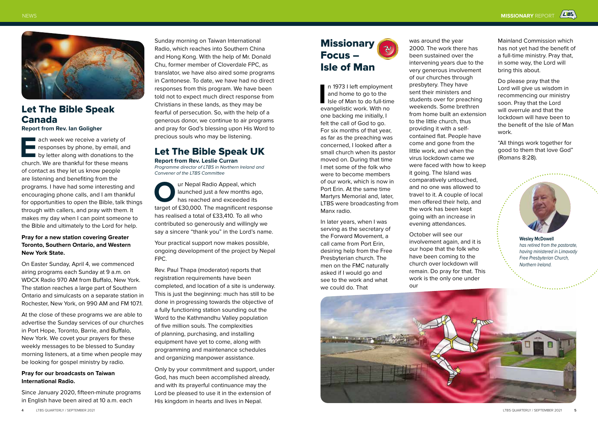

# Let The Bible Speak Canada **Report from Rev. Ian Goligher**

**EACH week we receive a variety of responses by phone, by email, and by letter along with donations to the church. We are thankful for these means** responses by phone, by email, and by letter along with donations to the of contact as they let us know people are listening and benefiting from the programs. I have had some interesting and encouraging phone calls, and I am thankful for opportunities to open the Bible, talk things through with callers, and pray with them. It makes my day when I can point someone to the Bible and ultimately to the Lord for help.

# **Pray for a new station covering Greater Toronto, Southern Ontario, and Western New York State.**

On Easter Sunday, April 4, we commenced airing programs each Sunday at 9 a.m. on WDCX Radio 970 AM from Buffalo, New York. The station reaches a large part of Southern Ontario and simulcasts on a separate station in Rochester, New York, on 990 AM and FM 107.1.

At the close of these programs we are able to advertise the Sunday services of our churches in Port Hope, Toronto, Barrie, and Buffalo, New York. We covet your prayers for these weekly messages to be blessed to Sunday morning listeners, at a time when people may be looking for gospel ministry by radio.

# **Pray for our broadcasts on Taiwan International Radio.**

Since January 2020, fifteen-minute programs in English have been aired at 10 a.m. each

Sunday morning on Taiwan International Radio, which reaches into Southern China and Hong Kong. With the help of Mr. Donald Chu, former member of Cloverdale FPC, as translator, we have also aired some programs in Cantonese. To date, we have had no direct responses from this program. We have been told not to expect much direct response from Christians in these lands, as they may be fearful of persecution. So, with the help of a generous donor, we continue to air programs and pray for God's blessing upon His Word to precious souls who may be listening.

# Let The Bible Speak UK **Report from Rev. Leslie Curran**

*Programme director of LTBS in Northern Ireland and Convener of the LTBS Committee*

**Our Nepal Radio Appeal, which launched just a few months ago, has reached and exceeded its target of £30,000. The magnificent response** launched just a few months ago, has reached and exceeded its has realised a total of £33,410. To all who contributed so generously and willingly we say a sincere "thank you" in the Lord's name.

Your practical support now makes possible, ongoing development of the project by Nepal FPC.

Rev. Paul Thapa (moderator) reports that registration requirements have been completed, and location of a site is underway. This is just the beginning: much has still to be done in progressing towards the objective of a fully functioning station sounding out the Word to the Kathmandhu Valley population of five million souls. The complexities of planning, purchasing, and installing equipment have yet to come, along with programming and maintenance schedules and organizing manpower assistance.

Only by your commitment and support, under God, has much been accomplished already, and with its prayerful continuance may the Lord be pleased to use it in the extension of His kingdom in hearts and lives in Nepal.

# **Missionary** Focus – Isle of Man

In 1973 I left employment and home to go to the Isle of Man to do full-tim evangelistic work. With no n 1973 I left employment and home to go to the Isle of Man to do full-time one backing me initially, I felt the call of God to go. For six months of that year, as far as the preaching was concerned, I looked after a small church when its pastor moved on. During that time I met some of the folk who were to become members of our work, which is now in Port Erin. At the same time Martyrs Memorial and, later, LTBS were broadcasting from Manx radio.

In later years, when I was serving as the secretary of the Forward Movement, a call came from Port Erin, desiring help from the Free Presbyterian church. The men on the FMC naturally asked if I would go and see to the work and what we could do. That

was around the year 2000. The work there has been sustained over the intervening years due to the very generous involvement of our churches through presbytery. They have sent their ministers and students over for preaching weekends. Some brethren from home built an extension to the little church, thus providing it with a selfcontained flat. People have come and gone from the little work, and when the virus lockdown came we were faced with how to keep it going. The Island was comparatively untouched, and no one was allowed to travel to it. A couple of local men offered their help, and the work has been kept going with an increase in evening attendances.

October will see our involvement again, and it is our hope that the folk who have been coming to the church over lockdown will remain. Do pray for that. This work is the only one under our

Mainland Commission which has not yet had the benefit of a full-time ministry. Pray that, in some way, the Lord will bring this about.

Do please pray that the Lord will give us wisdom in recommencing our ministry soon. Pray that the Lord will overrule and that the lockdown will have been to the benefit of the Isle of Man work.

"All things work together for good to them that love God" (Romans 8:28).



**Wesley McDowell** *has retired from the pastorate, having ministered in Limavady Free Presbyterian Church, Northern Ireland.*

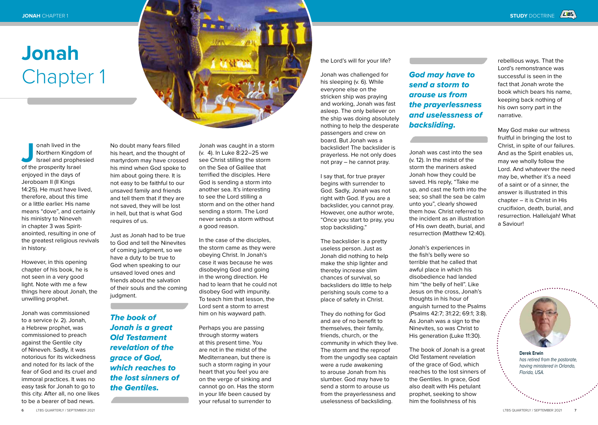

onah lived in the<br>
Northern Kingdor<br>
Israel and prophe<br>
of the prosperity Israel Northern Kingdom of Israel and prophesied enjoyed in the days of Jeroboam II (II Kings 14:25). He must have lived, therefore, about this time or a little earlier. His name means "dove", and certainly his ministry to Nineveh in chapter 3 was Spiritanointed, resulting in one of the greatest religious revivals in history.

However, in this opening chapter of his book, he is not seen in a very good light. Note with me a few things here about Jonah, the unwilling prophet.

Jonah was commissioned to a service (v. 2). Jonah, a Hebrew prophet, was commissioned to preach against the Gentile city of Nineveh. Sadly, it was notorious for its wickedness and noted for its lack of the fear of God and its cruel and immoral practices. It was no easy task for Jonah to go to this city. After all, no one likes to be a bearer of bad news.

No doubt many fears filled his heart, and the thought of martyrdom may have crossed his mind when God spoke to him about going there. It is not easy to be faithful to our unsaved family and friends and tell them that if they are not saved, they will be lost in hell, but that is what God requires of us.

Just as Jonah had to be true to God and tell the Ninevites of coming judgment, so we have a duty to be true to God when speaking to our unsaved loved ones and friends about the salvation of their souls and the coming judgment.

*The book of Jonah is a great Old Testament revelation of the grace of God, which reaches to the lost sinners of the Gentiles.*

Jonah was caught in a storm (v. 4). In Luke 8:22–25 we see Christ stilling the storm on the Sea of Galilee that terrified the disciples. Here God is sending a storm into another sea. It's interesting to see the Lord stilling a storm and on the other hand sending a storm. The Lord never sends a storm without a good reason.

In the case of the disciples, the storm came as they were obeying Christ. In Jonah's case it was because he was disobeying God and going in the wrong direction. He had to learn that he could not disobey God with impunity. To teach him that lesson, the Lord sent a storm to arrest him on his wayward path.

Perhaps you are passing through stormy waters at this present time. You are not in the midst of the Mediterranean, but there is such a storm raging in your heart that you feel you are on the verge of sinking and cannot go on. Has the storm in your life been caused by your refusal to surrender to

the Lord's will for your life?

Jonah was challenged for his sleeping (v. 6). While everyone else on the stricken ship was praying and working, Jonah was fast asleep. The only believer on the ship was doing absolutely nothing to help the desperate passengers and crew on board. But Jonah was a backslider! The backslider is prayerless. He not only does not pray – he cannot pray.

I say that, for true prayer begins with surrender to God. Sadly, Jonah was not right with God. If you are a backslider, you cannot pray. However, one author wrote, "Once you start to pray, you stop backsliding."

The backslider is a pretty useless person. Just as Jonah did nothing to help make the ship lighter and thereby increase slim chances of survival, so backsliders do little to help perishing souls come to a place of safety in Christ.

They do nothing for God and are of no benefit to themselves, their family, friends, church, or the community in which they live. The storm and the reproof from the ungodly sea captain were a rude awakening to arouse Jonah from his slumber. God may have to send a storm to arouse us from the prayerlessness and uselessness of backsliding.

# *God may have to send a storm to arouse us from the prayerlessness and uselessness of backsliding.*

Jonah was cast into the sea (v. 12). In the midst of the storm the mariners asked Jonah how they could be saved. His reply, "Take me up, and cast me forth into the sea; so shall the sea be calm unto you", clearly showed them how. Christ referred to the incident as an illustration of His own death, burial, and resurrection (Matthew 12:40).

Jonah's experiences in the fish's belly were so terrible that he called that awful place in which his disobedience had landed him "the belly of hell". Like Jesus on the cross, Jonah's thoughts in his hour of anguish turned to the Psalms (Psalms 42:7; 31:22; 69:1; 3:8). As Jonah was a sign to the Ninevites, so was Christ to His generation (Luke 11:30).

The book of Jonah is a great Old Testament revelation of the grace of God, which reaches to the lost sinners of the Gentiles. In grace, God also dealt with His petulant prophet, seeking to show him the foolishness of his

rebellious ways. That the Lord's remonstrance was successful is seen in the fact that Jonah wrote the book which bears his name, keeping back nothing of his own sorry part in the narrative.

May God make our witness fruitful in bringing the lost to Christ, in spite of our failures. And as the Spirit enables us, may we wholly follow the Lord. And whatever the need may be, whether it's a need of a saint or of a sinner, the answer is illustrated in this chapter – it is Christ in His crucifixion, death, burial, and resurrection. Hallelujah! What a Saviour!

**Derek Erwin** *has retired from the pastorate, having ministered in Orlando, Florida, USA.*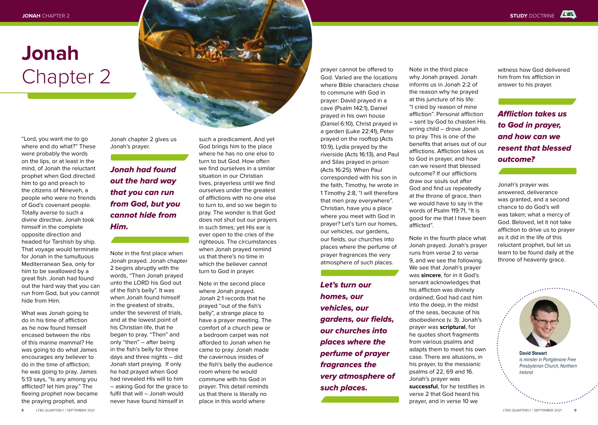

"Lord, you want me to go where and do what?" These were probably the words on the lips, or at least in the mind, of Jonah the reluctant prophet when God directed him to go and preach to the citizens of Nineveh, a people who were no friends of God's covenant people. Totally averse to such a divine directive, Jonah took himself in the complete opposite direction and headed for Tarshish by ship. That voyage would terminate for Jonah in the tumultuous Mediterranean Sea, only for him to be swallowed by a great fish. Jonah had found out the hard way that you can run from God, but you cannot hide from Him.

What was Jonah going to do in his time of affliction as he now found himself encased between the ribs of this marine mammal? He was going to do what James encourages any believer to do in the time of affliction; he was going to pray. James 5:13 says, "Is any among you afflicted? let him pray." The fleeing prophet now became the praying prophet, and

Jonah chapter 2 gives us Jonah's prayer.

# *Jonah had found out the hard way that you can run from God, but you cannot hide from Him.*

Note in the first place when Jonah prayed. Jonah chapter 2 begins abruptly with the words, "Then Jonah prayed unto the LORD his God out of the fish's belly". It was when Jonah found himself in the greatest of straits, under the severest of trials, and at the lowest point of his Christian life, that he began to pray. "Then" and only "then" – after being in the fish's belly for three days and three nights – did Jonah start praying. If only he had prayed when God had revealed His will to him – asking God for the grace to fulfil that will – Jonah would never have found himself in

such a predicament. And yet God brings him to the place where he has no one else to turn to but God. How often we find ourselves in a similar situation in our Christian lives, prayerless until we find ourselves under the greatest of afflictions with no one else to turn to, and so we begin to pray. The wonder is that God does not shut out our prayers in such times; yet His ear is ever open to the cries of the righteous. The circumstances when Jonah prayed remind us that there's no time in which the believer cannot turn to God in prayer.

Note in the second place where Jonah prayed. Jonah 2:1 records that he prayed "out of the fish's belly", a strange place to have a prayer meeting. The comfort of a church pew or a bedroom carpet was not afforded to Jonah when he came to pray. Jonah made the cavernous insides of the fish's belly the audience room where he would commune with his God in prayer. This detail reminds us that there is literally no place in this world where

prayer cannot be offered to God. Varied are the locations where Bible characters chose to commune with God in prayer: David prayed in a cave (Psalm 142:1), Daniel prayed in his own house (Daniel 6:10), Christ prayed in a garden (Luke 22:41), Peter prayed on the rooftop (Acts 10:9), Lydia prayed by the riverside (Acts 16:13), and Paul and Silas prayed in prison (Acts 16:25). When Paul corresponded with his son in the faith, Timothy, he wrote in 1 Timothy 2:8, "I will therefore that men pray everywhere". Christian, have you a place where you meet with God in prayer? Let's turn our homes, our vehicles, our gardens, our fields, our churches into places where the perfume of prayer fragrances the very atmosphere of such places.

*Let's turn our homes, our vehicles, our gardens, our fields, our churches into places where the perfume of prayer fragrances the very atmosphere of such places.*

Note in the third place why Jonah prayed. Jonah informs us in Jonah 2:2 of the reason why he prayed at this juncture of his life: "I cried by reason of mine affliction". Personal affliction – sent by God to chasten His erring child – drove Jonah to pray. This is one of the benefits that arises out of our afflictions. Affliction takes us to God in prayer, and how can we resent that blessed outcome? If our afflictions draw our souls out after God and find us repeatedly at the throne of grace, then we would have to say in the words of Psalm 119:71, "It is good for me that I have been afflicted".

Note in the fourth place what Jonah prayed. Jonah's prayer runs from verse 2 to verse 9, and we see the following. We see that Jonah's prayer was **sincere**, for in it God's servant acknowledges that his affliction was divinely ordained; God had cast him into the deep, in the midst of the seas, because of his disobedience (v. 3). Jonah's prayer was **scriptural**, for he quotes short fragments from various psalms and adapts them to meet his own case. There are allusions, in his prayer, to the messianic psalms of 22, 69 and 16. Jonah's prayer was **successful**, for he testifies in verse 2 that God heard his prayer, and in verse 10 we

witness how God delivered him from his affliction in answer to his prayer.

# *Affliction takes us to God in prayer, and how can we resent that blessed outcome?*

Jonah's prayer was answered, deliverance was granted, and a second chance to do God's will was taken; what a mercy of God. Beloved, let it not take affliction to drive us to prayer as it did in the life of this reluctant prophet, but let us learn to be found daily at the throne of heavenly grace.



**David Stewart**  *is minster in Portglenone Free Presbyterian Church, Northern Ireland.*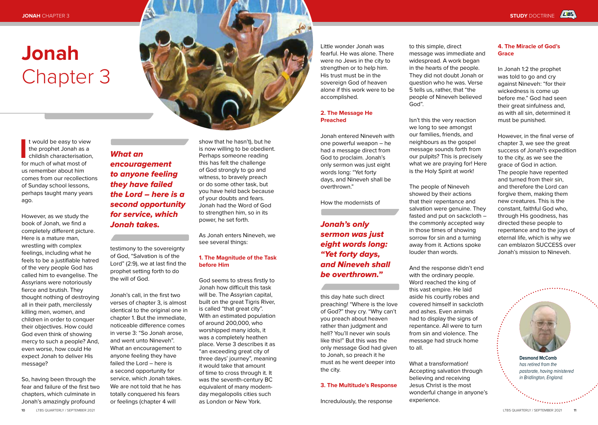I t would be easy to view<br>the prophet Jonah as a<br>childish characterisatio<br>for much of what most of t would be easy to view the prophet Jonah as a childish characterisation. us remember about him comes from our recollections of Sunday school lessons, perhaps taught many years ago.

However, as we study the book of Jonah, we find a completely different picture. Here is a mature man, wrestling with complex feelings, including what he feels to be a justifiable hatred of the very people God has called him to evangelise. The Assyrians were notoriously fierce and brutish. They thought nothing of destroying all in their path, mercilessly killing men, women, and children in order to conquer their objectives. How could God even think of showing mercy to such a people? And, even worse, how could He expect Jonah to deliver His message?

So, having been through the fear and failure of the first two chapters, which culminate in Jonah's amazingly profound

*What an encouragement to anyone feeling they have failed the Lord – here is a second opportunity for service, which Jonah takes.* 

> testimony to the sovereignty of God, "Salvation is of the Lord" (2:9), we at last find the prophet setting forth to do the will of God.

Jonah's call, in the first two verses of chapter 3, is almost identical to the original one in chapter 1. But the immediate, noticeable difference comes in verse 3: "So Jonah arose, and went unto Nineveh". What an encouragement to anyone feeling they have failed the Lord – here is a second opportunity for service, which Jonah takes. We are not told that he has totally conquered his fears or feelings (chapter 4 will

show that he hasn't), but he is now willing to be obedient. Perhaps someone reading this has felt the challenge of God strongly to go and witness, to bravely preach or do some other task, but you have held back because of your doubts and fears. Jonah had the Word of God to strengthen him, so in its power, he set forth.

As Jonah enters Nineveh, we see several things:

# **1. The Magnitude of the Task before Him**

God seems to stress firstly to Jonah how difficult this task will be. The Assyrian capital, built on the great Tigris River, is called "that great city". With an estimated population of around 200,000, who worshipped many idols, it was a completely heathen place. Verse 3 describes it as "an exceeding great city of three days' journey", meaning it would take that amount of time to cross through it. It was the seventh-century BC equivalent of many modernday megalopolis cities such as London or New York.

Little wonder Jonah was fearful. He was alone. There were no Jews in the city to strengthen or to help him. His trust must be in the sovereign God of heaven alone if this work were to be accomplished.

# **2. The Message He Preached**

Jonah entered Nineveh with one powerful weapon – he had a message direct from God to proclaim. Jonah's only sermon was just eight words long: "Yet forty days, and Nineveh shall be overthrown."

How the modernists of

*Jonah's only sermon was just eight words long: "Yet forty days, and Nineveh shall be overthrown."*

this day hate such direct preaching! "Where is the love of God?" they cry. "Why can't you preach about heaven rather than judgment and hell? You'll never win souls like this!" But this was the only message God had given to Jonah, so preach it he must as he went deeper into the city.

# **3. The Multitude's Response**

Incredulously, the response

to this simple, direct message was immediate and widespread. A work began in the hearts of the people. They did not doubt Jonah or question who he was. Verse 5 tells us, rather, that "the people of Nineveh believed God".

Isn't this the very reaction we long to see amongst our families, friends, and neighbours as the gospel message sounds forth from our pulpits? This is precisely what we are praying for! Here is the Holy Spirit at work!

The people of Nineveh showed by their actions that their repentance and salvation were genuine. They fasted and put on sackcloth – the commonly accepted way in those times of showing sorrow for sin and a turning away from it. Actions spoke louder than words.

And the response didn't end with the ordinary people. Word reached the king of this vast empire. He laid aside his courtly robes and covered himself in sackcloth and ashes. Even animals had to display the signs of repentance. All were to turn from sin and violence. The message had struck home to all.

What a transformation! Accepting salvation through believing and receiving Jesus Christ is the most wonderful change in anyone's experience.

# **4. The Miracle of God's Grace**

In Jonah 1:2 the prophet was told to go and cry against Nineveh: "for their wickedness is come up before me." God had seen their great sinfulness and, as with all sin, determined it must be punished.

However, in the final verse of chapter 3, we see the great success of Jonah's expedition to the city, as we see the grace of God in action. The people have repented and turned from their sin, and therefore the Lord can forgive them, making them new creatures. This is the constant, faithful God who, through His goodness, has directed these people to repentance and to the joys of eternal life, which is why we can emblazon SUCCESS over Jonah's mission to Nineveh.



**Desmond McComb** *has retired from the pastorate, having ministered in Bridlington, England.*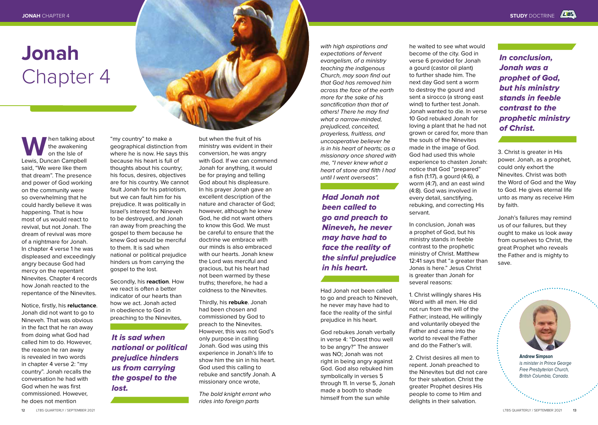W hen talking about<br>
the awakening<br>
Lewis, Duncan Campbell the awakening on the Isle of said, "We were like them that dream". The presence and power of God working on the community were so overwhelming that he could hardly believe it was happening. That is how most of us would react to revival, but not Jonah. The dream of revival was more of a nightmare for Jonah. In chapter 4 verse 1 he was displeased and exceedingly angry because God had mercy on the repentant Ninevites. Chapter 4 records how Jonah reacted to the repentance of the Ninevites.

Notice, firstly, his **reluctance**. Jonah did not want to go to Nineveh. That was obvious in the fact that he ran away from doing what God had called him to do. However, the reason he ran away is revealed in two words in chapter 4 verse 2: "my country". Jonah recalls the conversation he had with God when he was first commissioned. However, he does not mention

"my country" to make a geographical distinction from where he is now. He says this because his heart is full of thoughts about his country; his focus, desires, objectives are for his country. We cannot fault Jonah for his patriotism, but we can fault him for his prejudice. It was politically in Israel's interest for Nineveh to be destroyed, and Jonah ran away from preaching the gospel to them because he knew God would be merciful to them. It is sad when national or political prejudice hinders us from carrying the gospel to the lost.

Secondly, his **reaction**. How we react is often a better indicator of our hearts than how we act. Jonah acted in obedience to God in preaching to the Ninevites,

*It is sad when national or political prejudice hinders us from carrying the gospel to the lost.*

but when the fruit of his ministry was evident in their conversion, he was angry with God. If we can commend Jonah for anything, it would be for praying and telling God about his displeasure. In his prayer Jonah gave an excellent description of the nature and character of God; however, although he knew God, he did not want others to know this God. We must be careful to ensure that the doctrine we embrace with our minds is also embraced with our hearts. Jonah knew the Lord was merciful and gracious, but his heart had not been warmed by these truths; therefore, he had a coldness to the Ninevites.

Thirdly, his **rebuke**. Jonah had been chosen and commissioned by God to preach to the Ninevites. However, this was not God's only purpose in calling Jonah. God was using this experience in Jonah's life to show him the sin in his heart. God used this calling to rebuke and sanctify Jonah. A missionary once wrote,

*The bold knight errant who rides into foreign parts* 

*with high aspirations and expectations of fervent evangelism, of a ministry teaching the indigenous Church, may soon find out that God has removed him across the face of the earth more for the sake of his sanctification than that of others! There he may find what a narrow-minded, prejudiced, conceited, prayerless, fruitless, and uncooperative believer he is in his heart of hearts; as a missionary once shared with me, "I never knew what a heart of stone and filth I had until I went overseas".*

*Had Jonah not been called to go and preach to Nineveh, he never may have had to face the reality of the sinful prejudice in his heart.*

Had Jonah not been called to go and preach to Nineveh, he never may have had to face the reality of the sinful prejudice in his heart.

God rebukes Jonah verbally in verse 4: "Doest thou well to be angry?" The answer was NO; Jonah was not right in being angry against God. God also rebuked him symbolically in verses 5 through 11. In verse 5, Jonah made a booth to shade himself from the sun while

he waited to see what would become of the city. God in verse 6 provided for Jonah a gourd (castor oil plant) to further shade him. The next day God sent a worm to destroy the gourd and sent a sirocco (a strong east wind) to further test Jonah. Jonah wanted to die. In verse 10 God rebuked Jonah for loving a plant that he had not grown or cared for, more than the souls of the Ninevites made in the image of God. God had used this whole experience to chasten Jonah: notice that God "prepared" a fish (1:17), a gourd (4:6), a worm (4:7), and an east wind (4:8). God was involved in every detail, sanctifying, rebuking, and correcting His servant.

In conclusion, Jonah was a prophet of God, but his ministry stands in feeble contrast to the prophetic ministry of Christ. Matthew 12:41 says that "a greater than Jonas is here." Jesus Christ is greater than Jonah for several reasons:

1. Christ willingly shares His Word with all men. He did not run from the will of the Father; instead, He willingly and voluntarily obeyed the Father and came into the world to reveal the Father and do the Father's will.

2. Christ desires all men to repent. Jonah preached to the Ninevites but did not care for their salvation. Christ the greater Prophet desires His people to come to Him and delights in their salvation.

*In conclusion, Jonah was a prophet of God, but his ministry stands in feeble contrast to the prophetic ministry of Christ.*

3. Christ is greater in His power. Jonah, as a prophet, could only exhort the Ninevites. Christ was both the Word of God and the Way to God. He gives eternal life unto as many as receive Him by faith.

Jonah's failures may remind us of our failures, but they ought to make us look away from ourselves to Christ, the great Prophet who reveals the Father and is mighty to save.



**Andrew Simpson** *is minister in Prince George Free Presbyterian Church, British Columbia, Canada.*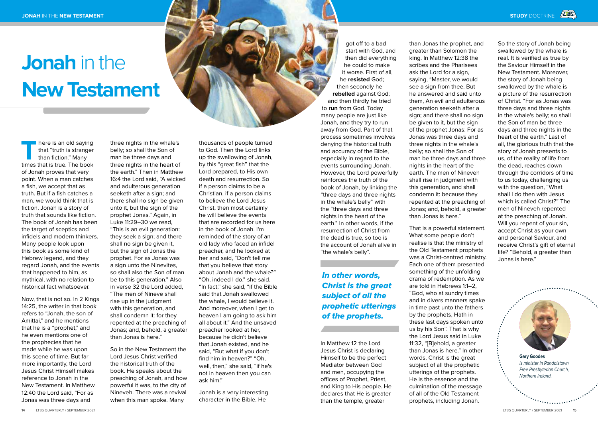# **Jonah** in the **New Testament**

**There is an old saying<br>
that "truth is stranger<br>
than fiction." Many<br>
times that is true. The book** that "truth is stranger than fiction." Many of Jonah proves that very point. When a man catches a fish, we accept that as truth. But if a fish catches a man, we would think that is fiction. Jonah is a story of truth that sounds like fiction. The book of Jonah has been the target of sceptics and infidels and modern thinkers. Many people look upon this book as some kind of Hebrew legend, and they regard Jonah, and the events that happened to him, as mythical, with no relation to historical fact whatsoever.

Now, that is not so. In 2 Kings 14:25, the writer in that book refers to "Jonah, the son of Amittai," and he mentions that he is a "prophet," and he even mentions one of the prophecies that he made while he was upon this scene of time. But far more importantly, the Lord Jesus Christ Himself makes reference to Jonah in the New Testament. In Matthew 12:40 the Lord said, "For as Jonas was three days and

three nights in the whale's belly; so shall the Son of man be three days and three nights in the heart of the earth." Then in Matthew 16:4 the Lord said, "A wicked and adulterous generation seeketh after a sign; and there shall no sign be given unto it, but the sign of the prophet Jonas." Again, in Luke 11:29–30 we read, "This is an evil generation: they seek a sign; and there shall no sign be given it, but the sign of Jonas the prophet. For as Jonas was a sign unto the Ninevites, so shall also the Son of man be to this generation." Also in verse 32 the Lord added, "The men of Nineve shall rise up in the judgment with this generation, and shall condemn it: for they repented at the preaching of Jonas; and, behold, a greater than Jonas is here."

So in the New Testament the Lord Jesus Christ verified the historical truth of the book. He speaks about the preaching of Jonah, and how powerful it was, to the city of Nineveh. There was a revival when this man spoke. Many

thousands of people turned to God. Then the Lord links up the swallowing of Jonah, by this "great fish" that the Lord prepared, to His own death and resurrection. So if a person claims to be a Christian, if a person claims to believe the Lord Jesus Christ, then most certainly he will believe the events that are recorded for us here in the book of Jonah. I'm reminded of the story of an old lady who faced an infidel preacher, and he looked at her and said, "Don't tell me that you believe that story about Jonah and the whale?" "Oh, indeed I do," she said. "In fact," she said, "if the Bible said that Jonah swallowed the whale, I would believe it. And moreover, when I get to heaven I am going to ask him all about it." And the unsaved preacher looked at her, because he didn't believe that Jonah existed, and he said, "But what if you don't find him in heaven?" "Oh, well, then," she said, "if he's not in heaven then you can ask him."

Jonah is a very interesting character in the Bible. He

got off to a bad start with God, and then did everything he could to make it worse. First of all, he **resisted** God; then secondly he **rebelled** against God; and then thirdly he tried to **run** from God. Today many people are just like Jonah, and they try to run away from God. Part of that process sometimes involves denying the historical truth and accuracy of the Bible, especially in regard to the events surrounding Jonah. However, the Lord powerfully reinforces the truth of the book of Jonah, by linking the "three days and three nights in the whale's belly" with the "three days and three nights in the heart of the earth." In other words, if the resurrection of Christ from the dead is true, so too is the account of Jonah alive in "the whale's belly".

*In other words, Christ is the great subject of all the prophetic utterings of the prophets.*

In Matthew 12 the Lord Jesus Christ is declaring Himself to be the perfect Mediator between God and men, occupying the offices of Prophet, Priest, and King to His people. He declares that He is greater than the temple, greater

than Jonas the prophet, and greater than Solomon the king. In Matthew 12:38 the scribes and the Pharisees ask the Lord for a sign, saying, "Master, we would see a sign from thee. But he answered and said unto them, An evil and adulterous generation seeketh after a sign; and there shall no sign be given to it, but the sign of the prophet Jonas: For as Jonas was three days and three nights in the whale's belly; so shall the Son of man be three days and three nights in the heart of the earth. The men of Nineveh shall rise in judgment with this generation, and shall condemn it: because they repented at the preaching of Jonas; and, behold, a greater than Jonas is here."

That is a powerful statement. What some people don't realise is that the ministry of the Old Testament prophets was a Christ-centred ministry. Each one of them presented something of the unfolding drama of redemption. As we are told in Hebrews 1:1–2, "God, who at sundry times and in divers manners spake in time past unto the fathers by the prophets, Hath in these last days spoken unto us by his Son". That is why the Lord Jesus said in Luke 11:32, "[B]ehold, a greater than Jonas is here." In other words, Christ is the great subject of all the prophetic utterings of the prophets. He is the essence and the culmination of the message of all of the Old Testament prophets, including Jonah.

So the story of Jonah being swallowed by the whale is real. It is verified as true by the Saviour Himself in the New Testament. Moreover, the story of Jonah being swallowed by the whale is a picture of the resurrection of Christ. "For as Jonas was three days and three nights in the whale's belly; so shall the Son of man be three days and three nights in the heart of the earth." Last of all, the glorious truth that the story of Jonah presents to us, of the reality of life from the dead, reaches down through the corridors of time to us today, challenging us with the question, "What shall I do then with Jesus which is called Christ?" The men of Nineveh repented at the preaching of Jonah. Will you repent of your sin, accept Christ as your own and personal Saviour, and receive Christ's gift of eternal life? "Behold, a greater than Jonas is here."

**Gary Goodes** *is minister in Randalstown Free Presbyterian Church,* 

*Northern Ireland.*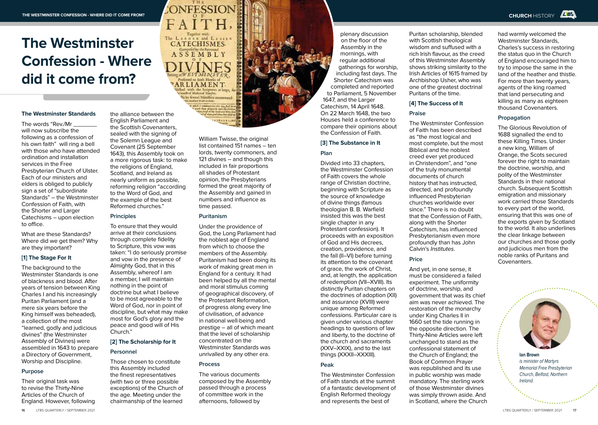# **The Westminster Confession - Where did it come from?**

#### **The Westminster Standards**

The words "Rev./Mr will now subscribe the following as a confession of his own faith" will ring a bell with those who have attended ordination and installation services in the Free Presbyterian Church of Ulster. Each of our ministers and elders is obliged to publicly sign a set of "subordinate" Standards" – the Westminster Confession of Faith, with the Shorter and Larger Catechisms – upon election to office.

What are these Standards? Where did we get them? Why are they important?

# **[1] The Stage For It**

The background to the Westminster Standards is one of blackness and blood. After years of tension between King Charles I and his increasingly Puritan Parliament (and a mere six years before the King himself was beheaded), a collection of the most "learned, godly and judicious divines" (the Westminster Assembly of Divines) were assembled in 1643 to prepare a Directory of Government, Worship and Discipline.

### **Purpose**

Their original task was to revise the Thirty-Nine Articles of the Church of England. However, following the alliance between the English Parliament and the Scottish Covenanters, sealed with the signing of the Solemn League and Covenant (25 September 1643), this Assembly took on a more rigorous task: to make the religions of England, Scotland, and Ireland as nearly uniform as possible, reforming religion "according to the Word of God, and the example of the best Reformed churches."

### **Principles**

To ensure that they would arrive at their conclusions through complete fidelity to Scripture, this vow was taken: "I do seriously promise and vow in the presence of Almighty God, that in this Assembly, whereof I am a member, I will maintain nothing in the point of doctrine but what I believe to be most agreeable to the Word of God, nor in point of discipline, but what may make most for God's glory and the peace and good will of His Church."

# **[2] The Scholarship for It Personnel**

Those chosen to constitute this Assembly included the finest representatives (with two or three possible exceptions) of the Church of the age. Meeting under the chairmanship of the learned

William Twisse, the original list contained 151 names – ten lords, twenty commoners, and 121 divines – and though this included in fair proportions all shades of Protestant opinion, the Presbyterians formed the great majority of the Assembly and gained in numbers and influence as time passed.

rein day Ball b

101334,2

# **Puritanism**

The LARGER and LESSER<br>CATECHISMES.

Compositel by the Reversed<br>
A S S E M B L Y

Prefented to both Houfer of **ARLIAMENT** ed with the Scriptures at large<sub>s</sub>.<br>carfitef Maltes of Familiei. leby feveral Minifters recommende Wark to then

> Under the providence of God, the Long Parliament had the noblest age of England from which to choose the members of the Assembly. Puritanism had been doing its work of making great men in England for a century. It had been helped by all the mental and moral stimulus coming of geographical discovery, of the Protestant Reformation, of progress along every line of civilisation, of advance in national well-being and prestige – all of which meant that the level of scholarship concentrated on the Westminster Standards was unrivalled by any other era.

### **Process**

The various documents composed by the Assembly passed through a process of committee work in the afternoons, followed by

plenary discussion on the floor of the Assembly in the mornings, with regular additional gatherings for worship, including fast days. The Shorter Catechism was completed and reported to Parliament, 5 November 1647, and the Larger Catechism, 14 April 1648. On 22 March 1648, the two Houses held a conference to compare their opinions about

# the Confession of Faith. **[3] The Substance in It Plan** Divided into 33 chapters,

the Westminster Confession of Faith covers the whole range of Christian doctrine, beginning with Scripture as the source of knowledge of divine things (famous theologian B. B. Warfield insisted this was the best single chapter in any Protestant confession). It proceeds with an exposition of God and His decrees, creation, providence, and the fall (II–VI) before turning its attention to the covenant of grace, the work of Christ, and, at length, the application of redemption (VII–XVIII). Its distinctly Puritan chapters on the doctrines of adoption (XII) and assurance (XVIII) were unique among Reformed confessions. Particular care is given under various chapter headings to questions of law and liberty, to the doctrine of the church and sacraments (XXV–XXIX), and to the last things (XXXII–XXXIII).

## **Peak**

The Westminster Confession of Faith stands at the summit of a fantastic development of English Reformed theology and represents the best of

Puritan scholarship, blended with Scottish theological wisdom and suffused with a rich Irish flavour, as the creed of this Westminster Assembly shows striking similarity to the Irish Articles of 1615 framed by Archbishop Usher, who was one of the greatest doctrinal Puritans of the time.

# **[4] The Success of It**

# **Praise**

The Westminster Confession of Faith has been described as "the most logical and most complete, but the most Biblical and the noblest creed ever yet produced in Christendom", and "one of the truly monumental documents of church history that has instructed, directed, and profoundly influenced Presbyterian churches worldwide ever since." There is no doubt that the Confession of Faith, along with the Shorter Catechism, has influenced Presbyterianism even more profoundly than has John Calvin's *Institutes*.

# **Price**

And yet, in one sense, it must be considered a failed experiment. The uniformity of doctrine, worship, and government that was its chief aim was never achieved. The restoration of the monarchy under King Charles II in 1660 set the tide running in the opposite direction. The Thirty-Nine Articles were left unchanged to stand as the confessional statement of the Church of England; the Book of Common Prayer was republished and its use in public worship was made mandatory. The sterling work of those Westminster divines was simply thrown aside. And in Scotland, where the Church

had warmly welcomed the Westminster Standards, Charles's success in restoring the status quo in the Church of England encouraged him to try to impose the same in the land of the heather and thistle. For more than twenty years, agents of the king roamed that land persecuting and killing as many as eighteen thousand Covenanters.

### **Propagation**

The Glorious Revolution of 1688 signalled the end to these Killing Times. Under a new king, William of Orange, the Scots secured forever the right to maintain the doctrine, worship, and polity of the Westminster Standards in their national church. Subsequent Scottish emigration and missionary work carried those Standards to every part of the world, ensuring that this was one of the exports given by Scotland to the world. It also underlines the clear linkage between our churches and those godly and judicious men from the noble ranks of Puritans and Covenanters.



**Ian Brown** *is minister of Martyrs Memorial Free Presbyterian Church, Belfast, Northern Ireland.*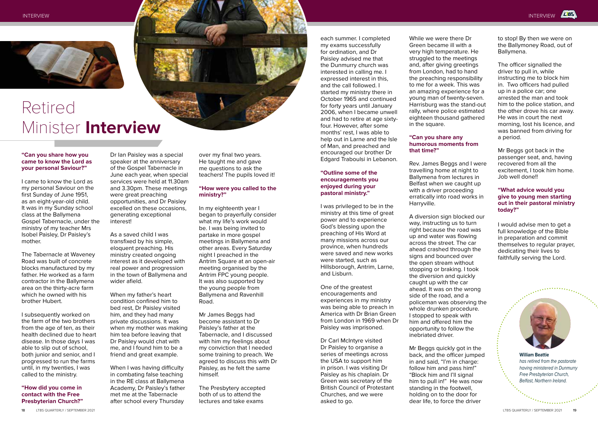

# Retired Minister **Interview**

### **"Can you share how you came to know the Lord as your personal Saviour?"**

I came to know the Lord as my personal Saviour on the first Sunday of June 1951, as an eight-year-old child. It was in my Sunday school class at the Ballymena Gospel Tabernacle, under the ministry of my teacher Mrs Isobel Paisley, Dr Paisley's mother.

The Tabernacle at Waveney Road was built of concrete blocks manufactured by my father. He worked as a farm contractor in the Ballymena area on the thirty-acre farm which he owned with his brother Hubert.

I subsequently worked on the farm of the two brothers from the age of ten, as their health declined due to heart disease. In those days I was able to slip out of school, both junior and senior, and I progressed to run the farms until, in my twenties, I was called to the ministry.

# **"How did you come in contact with the Free Presbyterian Church?"**

Dr Ian Paisley was a special speaker at the anniversary of the Gospel Tabernacle in June each year, when special services were held at 11.30am and 3.30pm. These meetings were great preaching opportunities, and Dr Paisley excelled on these occasions, generating exceptional interest!

As a saved child I was transfixed by his simple, eloquent preaching. His ministry created ongoing interest as it developed with real power and progression in the town of Ballymena and wider afield.

When my father's heart condition confined him to bed rest, Dr Paisley visited him, and they had many private discussions. It was when my mother was making him tea before leaving that Dr Paisley would chat with me, and I found him to be a friend and great example.

When I was having difficulty in combating false teaching in the RE class at Ballymena Academy, Dr Paisley's father met me at the Tabernacle after school every Thursday

over my final two years. He taught me and gave me questions to ask the teachers! The pupils loved it!

# **"How were you called to the ministry?"**

In my eighteenth year I began to prayerfully consider what my life's work would be. I was being invited to partake in more gospel meetings in Ballymena and other areas. Every Saturday night I preached in the Antrim Square at an open-air meeting organised by the Antrim FPC young people. It was also supported by the young people from Ballymena and Ravenhill Road.

Mr James Beggs had become assistant to Dr Paisley's father at the Tabernacle, and I discussed with him my feelings about my conviction that I needed some training to preach. We agreed to discuss this with Dr Paisley, as he felt the same himself.

The Presbytery accepted both of us to attend the lectures and take exams

each summer. I completed my exams successfully for ordination, and Dr Paisley advised me that the Dunmurry church was interested in calling me. I expressed interest in this, and the call followed. I started my ministry there in October 1965 and continued for forty years until January 2006, when I became unwell and had to retire at age sixtyfour. However, after some months' rest, I was able to help out in Larne and the Isle of Man, and preached and encouraged our brother Dr Edgard Traboulsi in Lebanon.

# **"Outline some of the encouragements you enjoyed during your pastoral ministry."**

I was privileged to be in the ministry at this time of great power and to experience God's blessing upon the preaching of His Word at many missions across our province, when hundreds were saved and new works were started, such as Hillsborough, Antrim, Larne, and Lisburn.

One of the greatest encouragements and experiences in my ministry was being able to preach in America with Dr Brian Green from London in 1969 when Dr Paisley was imprisoned.

Dr Carl McIntyre visited Dr Paisley to organise a series of meetings across the USA to support him in prison. I was visiting Dr Paisley as his chaplain. Dr Green was secretary of the British Council of Protestant Churches, and we were asked to go.

While we were there Dr Green became ill with a very high temperature. He struggled to the meetings and, after giving greetings from London, had to hand the preaching responsibility to me for a week. This was an amazing experience for a young man of twenty-seven. Harrisburg was the stand-out rally, where police estimated eighteen thousand gathered in the square.

### **"Can you share any humorous moments from that time?"**

Rev. James Beggs and I were travelling home at night to Ballymena from lectures in Belfast when we caught up with a driver proceeding erratically into road works in Harryville.

A diversion sign blocked our way, instructing us to turn right because the road was up and water was flowing across the street. The car ahead crashed through the signs and bounced over the open stream without stopping or braking. I took the diversion and quickly caught up with the car ahead. It was on the wrong side of the road, and a policeman was observing the whole drunken procedure. I stopped to speak with him and offered him the opportunity to follow the inebriated driver.

Mr Beggs quickly got in the back, and the officer jumped in and said, "I'm in charge: follow him and pass him!" "Block him and I'll signal him to pull in!" He was now standing in the footwell, holding on to the door for dear life, to force the driver

to stop! By then we were on the Ballymoney Road, out of Ballymena.

**LES** 

The officer signalled the driver to pull in, while instructing me to block him in. Two officers had pulled up in a police car; one arrested the man and took him to the police station, and the other drove his car away. He was in court the next morning, lost his licence, and was banned from driving for a period.

Mr Beggs got back in the passenger seat, and, having recovered from all the excitement, I took him home. Job well done!!

# **"What advice would you give to young men starting out in their pastoral ministry today?"**

I would advise men to get a full knowledge of the Bible in preparation and commit themselves to regular prayer, dedicating their lives to faithfully serving the Lord.



**William Beattie** *has retired from the pastorate having ministered in Dunmurry Free Presbyterian Church, Belfast, Northern Ireland.*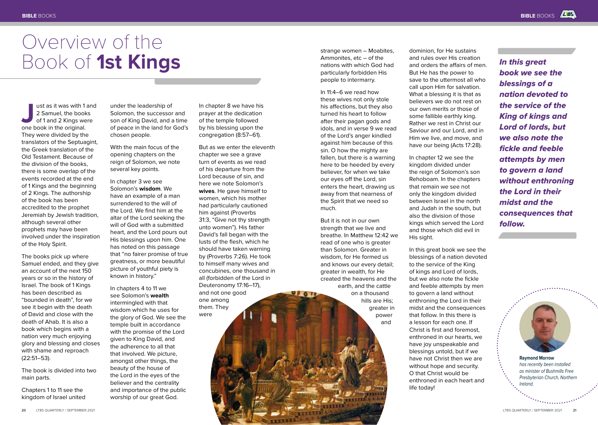# Overview of the Book of **1st Kings**

**Journal** ust as it was with 1 and 2 Samuel, the books<br>of 1 and 2 Kings were<br>one book in the original. 2 Samuel, the books of 1 and 2 Kings were They were divided by the translators of the Septuagint, the Greek translation of the Old Testament. Because of the division of the books, there is some overlap of the events recorded at the end of 1 Kings and the beginning of 2 Kings. The authorship of the book has been accredited to the prophet Jeremiah by Jewish tradition, although several other prophets may have been involved under the inspiration of the Holy Spirit.

The books pick up where Samuel ended, and they give an account of the next 150 years or so in the history of Israel. The book of 1 Kings has been described as "bounded in death", for we see it begin with the death of David and close with the death of Ahab. It is also a book which begins with a nation very much enjoying glory and blessing and closes with shame and reproach (22:51–53).

The book is divided into two main parts.

Chapters 1 to 11 see the kingdom of Israel united under the leadership of Solomon, the successor and son of King David, and a time of peace in the land for God's chosen people.

With the main focus of the opening chapters on the reign of Solomon, we note several key points.

In chapter 3 we see Solomon's **wisdom**. We have an example of a man surrendered to the will of the Lord. We find him at the altar of the Lord seeking the will of God with a submitted heart, and the Lord pours out His blessings upon him. One has noted on this passage that "no fairer promise of true greatness, or more beautiful picture of youthful piety is known in history."

In chapters 4 to 11 we see Solomon's **wealth** intermingled with that wisdom which he uses for the glory of God. We see the temple built in accordance with the promise of the Lord given to King David, and the adherence to all that that involved. We picture, amongst other things, the beauty of the house of the Lord in the eyes of the believer and the centrality and importance of the public worship of our great God.

In chapter 8 we have his prayer at the dedication of the temple followed by his blessing upon the congregation (8:57–61).

But as we enter the eleventh chapter we see a grave turn of events as we read of his departure from the Lord because of sin, and here we note Solomon's **wives**. He gave himself to women, which his mother had particularly cautioned him against (Proverbs 31:3, "Give not thy strength unto women"). His father David's fall began with the lusts of the flesh, which he should have taken warning by (Proverbs 7:26). He took to himself many wives and concubines, one thousand in all (forbidden of the Lord in Deuteronomy 17:16–17), and not one good one among them. They were

strange women – Moabites, Ammonites, etc – of the nations with which God had particularly forbidden His people to intermarry.

In 11:4–6 we read how these wives not only stole his affections, but they also turned his heart to follow after their pagan gods and idols, and in verse 9 we read of the Lord's anger kindled against him because of this sin. O how the mighty are fallen, but there is a warning here to be heeded by every believer, for when we take our eyes off the Lord, sin enters the heart, drawing us away from that nearness of the Spirit that we need so much.

But it is not in our own strength that we live and breathe. In Matthew 12:42 we read of one who is greater than Solomon. Greater in wisdom, for He formed us and knows our every detail; greater in wealth, for He created the heavens and the earth, and the cattle on a thousand hills are His; greater in power and

**9**, 6 TO

dominion, for He sustains and rules over His creation and orders the affairs of men. But He has the power to save to the uttermost all who call upon Him for salvation. What a blessing it is that as believers we do not rest on our own merits or those of some fallible earthly king. Rather we rest in Christ our Saviour and our Lord, and in Him we live, and move, and have our being (Acts 17:28).

In chapter 12 we see the kingdom divided under the reign of Solomon's son Rehoboam. In the chapters that remain we see not only the kingdom divided between Israel in the north and Judah in the south, but also the division of those kings which served the Lord and those which did evil in His sight.

In this great book we see the blessings of a nation devoted to the service of the King of kings and Lord of lords, but we also note the fickle and feeble attempts by men to govern a land without enthroning the Lord in their midst and the consequences that follow. In this there is a lesson for each one. If Christ is first and foremost, enthroned in our hearts, we have joy unspeakable and blessings untold, but if we have not Christ then we are without hope and security. O that Christ would be enthroned in each heart and life today!

*In this great book we see the blessings of a nation devoted to the service of the King of kings and Lord of lords, but we also note the fickle and feeble attempts by men to govern a land without enthroning the Lord in their midst and the consequences that follow.*



**Raymond Morrow** *has recently been installed as minister of Bushmills Free Presbyterian Church, Northern Ireland.*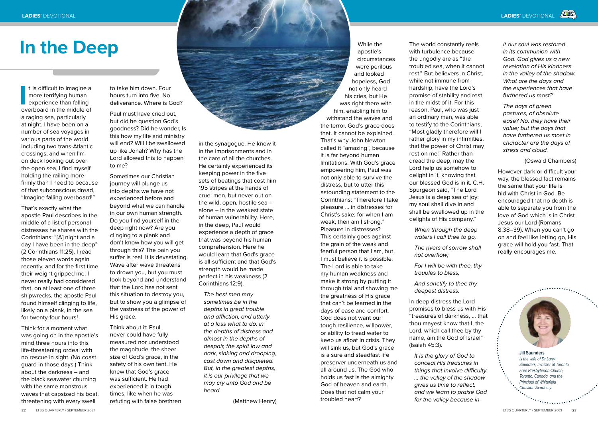# **In the Deep**

I is difficult to imagine a<br>
more terrifying human<br>
experience than falling<br>
overboard in the middle of t is difficult to imagine a more terrifying human experience than falling a raging sea, particularly at night. I have been on a number of sea voyages in various parts of the world, including two trans-Atlantic crossings, and when I'm on deck looking out over the open sea, I find myself holding the railing more firmly than I need to because of that subconscious dread, "Imagine falling overboard!"

That's exactly what the apostle Paul describes in the middle of a list of personal distresses he shares with the Corinthians: "[A] night and a day I have been in the deep" (2 Corinthians 11:25). I read those eleven words again recently, and for the first time their weight gripped me. I never really had considered that, on at least one of three shipwrecks, the apostle Paul found himself clinging to life, likely on a plank, in the sea for twenty-four hours!

Think for a moment what was going on in the apostle's mind three hours into this life-threatening ordeal with no rescue in sight. (No coast guard in those days.) Think about the darkness – and the black seawater churning with the same monstrous waves that capsized his boat, threatening with every swell

to take him down. Four hours turn into five. No deliverance. Where is God?

Paul must have cried out, but did he question God's goodness? Did he wonder, Is this how my life and ministry will end? Will I be swallowed up like Jonah? Why has the Lord allowed this to happen to me?

Sometimes our Christian journey will plunge us into depths we have not experienced before and beyond what we can handle in our own human strength. Do you find yourself in the deep right now? Are you clinging to a plank and don't know how you will get through this? The pain you suffer is real. It is devastating. Wave after wave threatens to drown you, but you must look beyond and understand that the Lord has not sent this situation to destroy you, but to show you a glimpse of the vastness of the power of His grace.

Think about it: Paul never could have fully measured nor understood the magnitude, the sheer size of God's grace, in the safety of his own tent. He knew that God's grace was sufficient. He had experienced it in tough times, like when he was refuting with false brethren

in the synagogue. He knew it in the imprisonments and in the care of all the churches. He certainly experienced its keeping power in the five sets of beatings that cost him 195 stripes at the hands of cruel men, but never out on the wild, open, hostile sea – alone – in the weakest state of human vulnerability. Here, in the deep, Paul would experience a depth of grace that was beyond his human comprehension. Here he would learn that God's grace is all-sufficient and that God's strength would be made perfect in his weakness (2 Corinthians 12:9).

*The best men may sometimes be in the depths in great trouble and affliction, and utterly at a loss what to do, in the depths of distress and almost in the depths of despair, the spirit low and dark, sinking and drooping, cast down and disquieted. But, in the greatest depths, it is our privilege that we may cry unto God and be heard.*

(Matthew Henry)

While the apostle's circumstances were perilous and looked hopeless, God not only heard his cries, but He was right there with him, enabling him to withstand the waves and the terror. God's grace does that. It cannot be explained. That's why John Newton called it "amazing", because it is far beyond human limitations. With God's grace empowering him, Paul was not only able to survive the distress, but to utter this astounding statement to the Corinthians: "Therefore I take pleasure … in distresses for Christ's sake: for when I am weak, then am I strong." Pleasure in distresses? This certainly goes against the grain of the weak and fearful person that I am, but I must believe it is possible. The Lord is able to take my human weakness and make it strong by putting it through trial and showing me the greatness of His grace that can't be learned in the days of ease and comfort. God does not want our tough resilience, willpower, or ability to tread water to keep us afloat in crisis. They will sink us, but God's grace is a sure and steadfast life preserver underneath us and all around us. The God who holds us fast is the almighty God of heaven and earth. Does that not calm your troubled heart?

The world constantly reels with turbulence because the ungodly are as "the troubled sea, when it cannot rest." But believers in Christ, while not immune from hardship, have the Lord's promise of stability and rest in the midst of it. For this reason, Paul, who was just an ordinary man, was able to testify to the Corinthians, "Most gladly therefore will I rather glory in my infirmities, that the power of Christ may rest on me." Rather than dread the deep, may the Lord help us somehow to delight in it, knowing that our blessed God is in it. C.H. Spurgeon said, "The Lord Jesus is a deep sea of joy: my soul shall dive in and shall be swallowed up in the delights of His company."

*When through the deep waters I call thee to go,*

*The rivers of sorrow shall not overflow;*

*For I will be with thee, thy troubles to bless,*

*And sanctify to thee thy deepest distress.*

In deep distress the Lord promises to bless us with His "treasures of darkness, … that thou mayest know that I, the Lord, which call thee by thy name, am the God of Israel" (Isaiah 45:3).

*It is the glory of God to conceal His treasures in things that involve difficulty … the valley of the shadow gives us time to reflect, and we learn to praise God for the valley because in* 

*it our soul was restored in its communion with God. God gives us a new revelation of His kindness in the valley of the shadow. What are the days and the experiences that have furthered us most?* 

*The days of green pastures, of absolute ease? No, they have their value; but the days that have furthered us most in character are the days of stress and cloud.*

(Oswald Chambers)

However dark or difficult your way, the blessed fact remains the same that your life is hid with Christ in God. Be encouraged that no depth is able to separate you from the love of God which is in Christ Jesus our Lord (Romans 8:38–39). When you can't go on and feel like letting go, His grace will hold you fast. That really encourages me.



**Jill Saunders** *is the wife of Dr Larry Saunders, minister of Toronto Free Presbyterian Church, Toronto, Canada, and the Principal of Whitefield Christian Academy.*